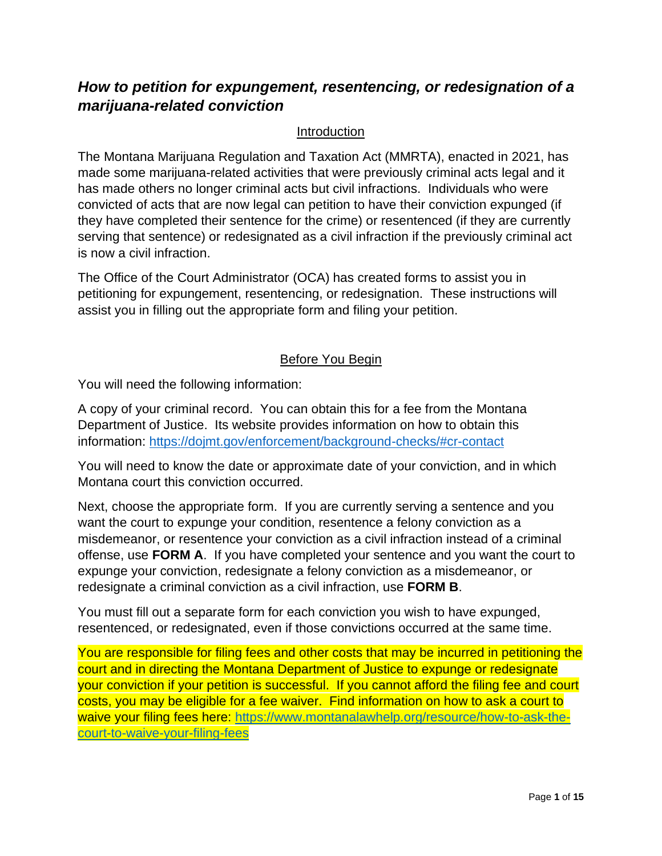# *How to petition for expungement, resentencing, or redesignation of a marijuana-related conviction*

#### Introduction

The Montana Marijuana Regulation and Taxation Act (MMRTA), enacted in 2021, has made some marijuana-related activities that were previously criminal acts legal and it has made others no longer criminal acts but civil infractions. Individuals who were convicted of acts that are now legal can petition to have their conviction expunged (if they have completed their sentence for the crime) or resentenced (if they are currently serving that sentence) or redesignated as a civil infraction if the previously criminal act is now a civil infraction.

The Office of the Court Administrator (OCA) has created forms to assist you in petitioning for expungement, resentencing, or redesignation. These instructions will assist you in filling out the appropriate form and filing your petition.

#### Before You Begin

You will need the following information:

A copy of your criminal record. You can obtain this for a fee from the Montana Department of Justice. Its website provides information on how to obtain this information:<https://dojmt.gov/enforcement/background-checks/#cr-contact>

You will need to know the date or approximate date of your conviction, and in which Montana court this conviction occurred.

Next, choose the appropriate form. If you are currently serving a sentence and you want the court to expunge your condition, resentence a felony conviction as a misdemeanor, or resentence your conviction as a civil infraction instead of a criminal offense, use **FORM A**. If you have completed your sentence and you want the court to expunge your conviction, redesignate a felony conviction as a misdemeanor, or redesignate a criminal conviction as a civil infraction, use **FORM B**.

You must fill out a separate form for each conviction you wish to have expunged, resentenced, or redesignated, even if those convictions occurred at the same time.

You are responsible for filing fees and other costs that may be incurred in petitioning the court and in directing the Montana Department of Justice to expunge or redesignate your conviction if your petition is successful. If you cannot afford the filing fee and court costs, you may be eligible for a fee waiver. Find information on how to ask a court to waive your filing fees here: [https://www.montanalawhelp.org/resource/how-to-ask-the](https://www.montanalawhelp.org/resource/how-to-ask-the-court-to-waive-your-filing-fees)[court-to-waive-your-filing-fees](https://www.montanalawhelp.org/resource/how-to-ask-the-court-to-waive-your-filing-fees)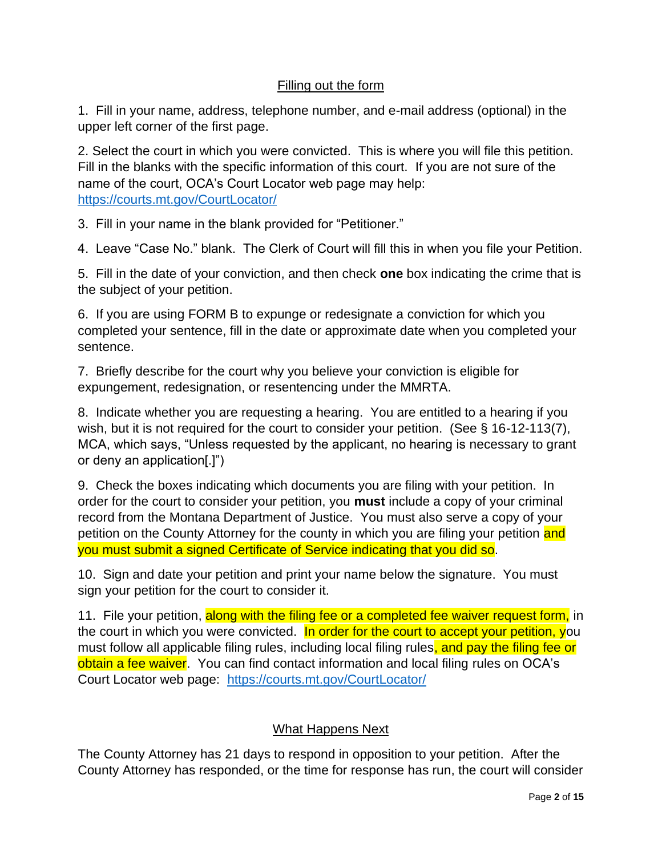## Filling out the form

1. Fill in your name, address, telephone number, and e-mail address (optional) in the upper left corner of the first page.

2. Select the court in which you were convicted. This is where you will file this petition. Fill in the blanks with the specific information of this court. If you are not sure of the name of the court, OCA's Court Locator web page may help: <https://courts.mt.gov/CourtLocator/>

3. Fill in your name in the blank provided for "Petitioner."

4. Leave "Case No." blank. The Clerk of Court will fill this in when you file your Petition.

5. Fill in the date of your conviction, and then check **one** box indicating the crime that is the subject of your petition.

6. If you are using FORM B to expunge or redesignate a conviction for which you completed your sentence, fill in the date or approximate date when you completed your sentence.

7. Briefly describe for the court why you believe your conviction is eligible for expungement, redesignation, or resentencing under the MMRTA.

8. Indicate whether you are requesting a hearing. You are entitled to a hearing if you wish, but it is not required for the court to consider your petition. (See § 16-12-113(7), MCA, which says, "Unless requested by the applicant, no hearing is necessary to grant or deny an application[.]")

9. Check the boxes indicating which documents you are filing with your petition. In order for the court to consider your petition, you **must** include a copy of your criminal record from the Montana Department of Justice. You must also serve a copy of your petition on the County Attorney for the county in which you are filing your petition and you must submit a signed Certificate of Service indicating that you did so.

10. Sign and date your petition and print your name below the signature. You must sign your petition for the court to consider it.

11. File your petition, along with the filing fee or a completed fee waiver request form, in the court in which you were convicted. In order for the court to accept your petition, you must follow all applicable filing rules, including local filing rules, and pay the filing fee or obtain a fee waiver. You can find contact information and local filing rules on OCA's Court Locator web page: <https://courts.mt.gov/CourtLocator/>

## What Happens Next

The County Attorney has 21 days to respond in opposition to your petition. After the County Attorney has responded, or the time for response has run, the court will consider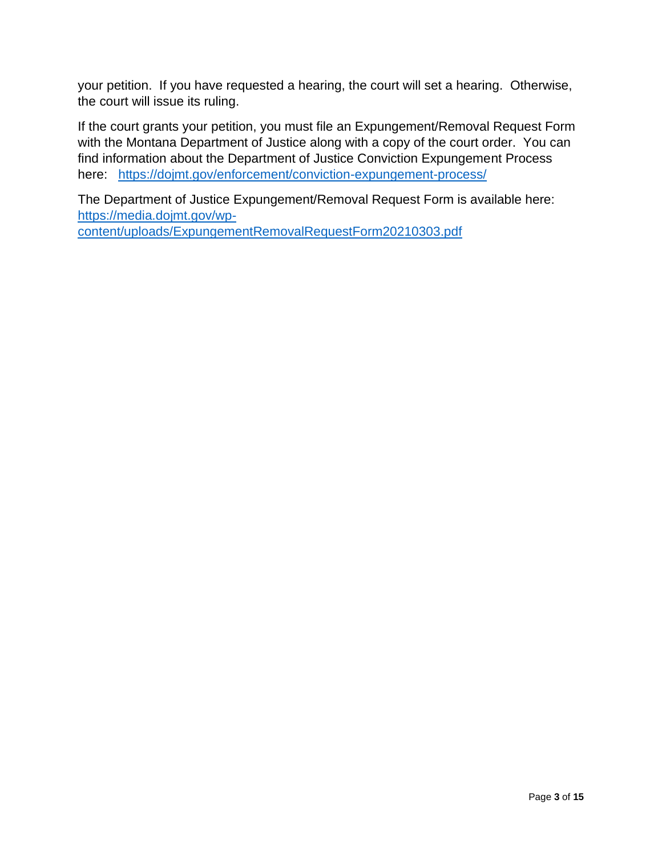your petition. If you have requested a hearing, the court will set a hearing. Otherwise, the court will issue its ruling.

If the court grants your petition, you must file an Expungement/Removal Request Form with the Montana Department of Justice along with a copy of the court order. You can find information about the Department of Justice Conviction Expungement Process here: <https://dojmt.gov/enforcement/conviction-expungement-process/>

The Department of Justice Expungement/Removal Request Form is available here: [https://media.dojmt.gov/wp](https://media.dojmt.gov/wp-content/uploads/ExpungementRemovalRequestForm20210303.pdf)[content/uploads/ExpungementRemovalRequestForm20210303.pdf](https://media.dojmt.gov/wp-content/uploads/ExpungementRemovalRequestForm20210303.pdf)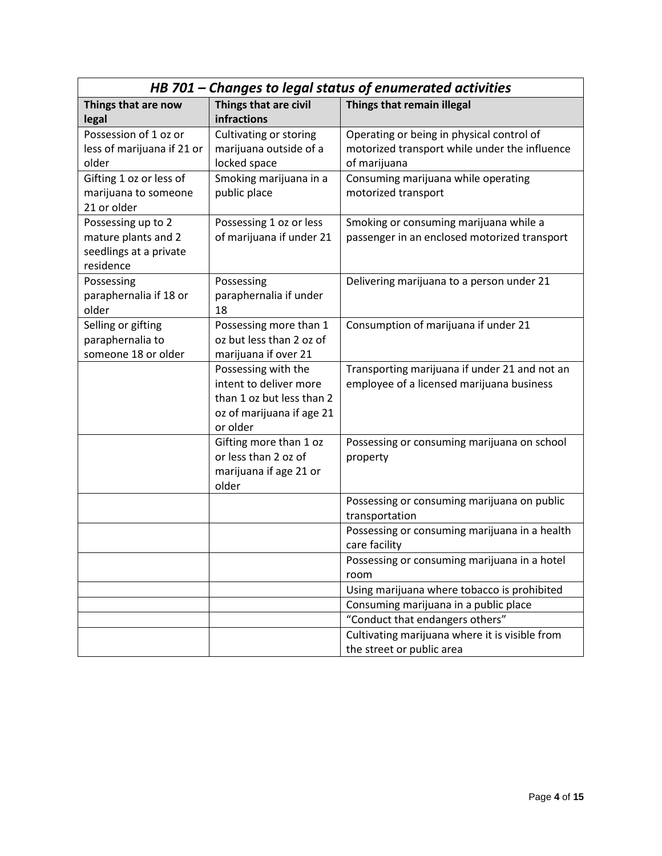|                                                                                  | HB 701 - Changes to legal status of enumerated activities                                                           |                                                                                                            |  |  |
|----------------------------------------------------------------------------------|---------------------------------------------------------------------------------------------------------------------|------------------------------------------------------------------------------------------------------------|--|--|
| Things that are now<br>legal                                                     | Things that are civil<br>infractions                                                                                | Things that remain illegal                                                                                 |  |  |
| Possession of 1 oz or<br>less of marijuana if 21 or<br>older                     | Cultivating or storing<br>marijuana outside of a<br>locked space                                                    | Operating or being in physical control of<br>motorized transport while under the influence<br>of marijuana |  |  |
| Gifting 1 oz or less of<br>marijuana to someone<br>21 or older                   | Smoking marijuana in a<br>public place                                                                              | Consuming marijuana while operating<br>motorized transport                                                 |  |  |
| Possessing up to 2<br>mature plants and 2<br>seedlings at a private<br>residence | Possessing 1 oz or less<br>of marijuana if under 21                                                                 | Smoking or consuming marijuana while a<br>passenger in an enclosed motorized transport                     |  |  |
| Possessing<br>paraphernalia if 18 or<br>older                                    | Possessing<br>paraphernalia if under<br>18                                                                          | Delivering marijuana to a person under 21                                                                  |  |  |
| Selling or gifting<br>paraphernalia to<br>someone 18 or older                    | Possessing more than 1<br>oz but less than 2 oz of<br>marijuana if over 21                                          | Consumption of marijuana if under 21                                                                       |  |  |
|                                                                                  | Possessing with the<br>intent to deliver more<br>than 1 oz but less than 2<br>oz of marijuana if age 21<br>or older | Transporting marijuana if under 21 and not an<br>employee of a licensed marijuana business                 |  |  |
|                                                                                  | Gifting more than 1 oz<br>or less than 2 oz of<br>marijuana if age 21 or<br>older                                   | Possessing or consuming marijuana on school<br>property                                                    |  |  |
|                                                                                  |                                                                                                                     | Possessing or consuming marijuana on public<br>transportation                                              |  |  |
|                                                                                  |                                                                                                                     | Possessing or consuming marijuana in a health<br>care facility                                             |  |  |
|                                                                                  |                                                                                                                     | Possessing or consuming marijuana in a hotel<br>room                                                       |  |  |
|                                                                                  |                                                                                                                     | Using marijuana where tobacco is prohibited                                                                |  |  |
|                                                                                  |                                                                                                                     | Consuming marijuana in a public place                                                                      |  |  |
|                                                                                  |                                                                                                                     | "Conduct that endangers others"                                                                            |  |  |
|                                                                                  |                                                                                                                     | Cultivating marijuana where it is visible from<br>the street or public area                                |  |  |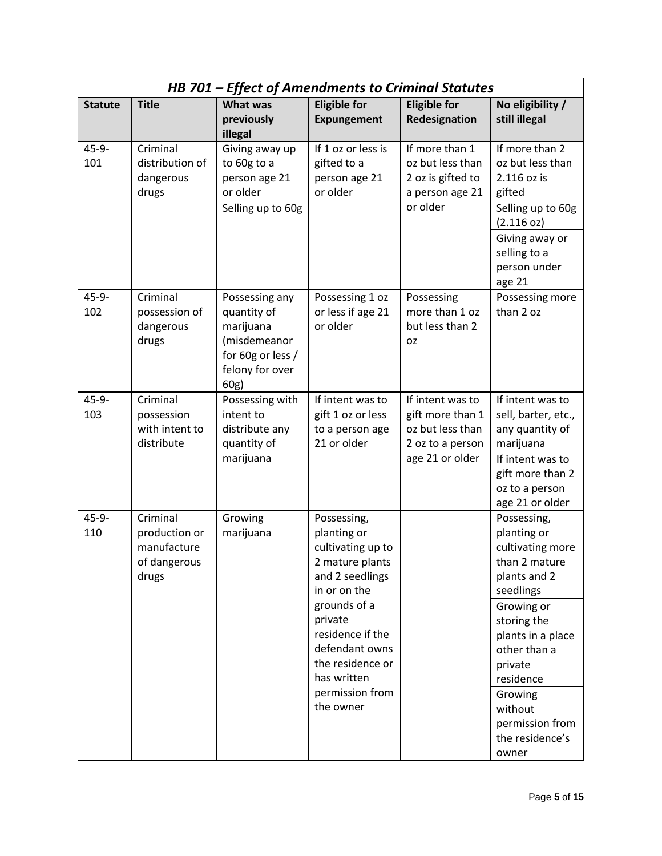|                   | HB 701 - Effect of Amendments to Criminal Statutes                |                                                                                                            |                                                                                                       |                                                                                                 |                                                                                                                                                      |  |
|-------------------|-------------------------------------------------------------------|------------------------------------------------------------------------------------------------------------|-------------------------------------------------------------------------------------------------------|-------------------------------------------------------------------------------------------------|------------------------------------------------------------------------------------------------------------------------------------------------------|--|
| <b>Statute</b>    | <b>Title</b>                                                      | What was<br>previously<br>illegal                                                                          | <b>Eligible for</b><br><b>Expungement</b>                                                             | <b>Eligible for</b><br>Redesignation                                                            | No eligibility /<br>still illegal                                                                                                                    |  |
| $45 - 9 -$<br>101 | Criminal<br>distribution of<br>dangerous<br>drugs                 | Giving away up<br>to 60g to a<br>person age 21<br>or older<br>Selling up to 60g                            | If 1 oz or less is<br>gifted to a<br>person age 21<br>or older                                        | If more than 1<br>oz but less than<br>2 oz is gifted to<br>a person age 21<br>or older          | If more than 2<br>oz but less than<br>2.116 oz is<br>gifted<br>Selling up to 60g<br>(2.116 oz)                                                       |  |
|                   |                                                                   |                                                                                                            |                                                                                                       |                                                                                                 | Giving away or<br>selling to a<br>person under<br>age 21                                                                                             |  |
| $45 - 9 -$<br>102 | Criminal<br>possession of<br>dangerous<br>drugs                   | Possessing any<br>quantity of<br>marijuana<br>(misdemeanor<br>for 60g or less /<br>felony for over<br>60g) | Possessing 1 oz<br>or less if age 21<br>or older                                                      | Possessing<br>more than 1 oz<br>but less than 2<br>OZ.                                          | Possessing more<br>than 2 oz                                                                                                                         |  |
| $45 - 9 -$<br>103 | Criminal<br>possession<br>with intent to<br>distribute            | Possessing with<br>intent to<br>distribute any<br>quantity of<br>marijuana                                 | If intent was to<br>gift 1 oz or less<br>to a person age<br>21 or older                               | If intent was to<br>gift more than 1<br>oz but less than<br>2 oz to a person<br>age 21 or older | If intent was to<br>sell, barter, etc.,<br>any quantity of<br>marijuana<br>If intent was to<br>gift more than 2<br>oz to a person<br>age 21 or older |  |
| $45 - 9 -$<br>110 | Criminal<br>production or<br>manufacture<br>of dangerous<br>drugs | Growing<br>marijuana                                                                                       | Possessing,<br>planting or<br>cultivating up to<br>2 mature plants<br>and 2 seedlings<br>in or on the |                                                                                                 | Possessing,<br>planting or<br>cultivating more<br>than 2 mature<br>plants and 2<br>seedlings                                                         |  |
|                   |                                                                   |                                                                                                            | grounds of a<br>private<br>residence if the<br>defendant owns<br>the residence or<br>has written      |                                                                                                 | Growing or<br>storing the<br>plants in a place<br>other than a<br>private<br>residence                                                               |  |
|                   |                                                                   |                                                                                                            | permission from<br>the owner                                                                          |                                                                                                 | Growing<br>without<br>permission from<br>the residence's<br>owner                                                                                    |  |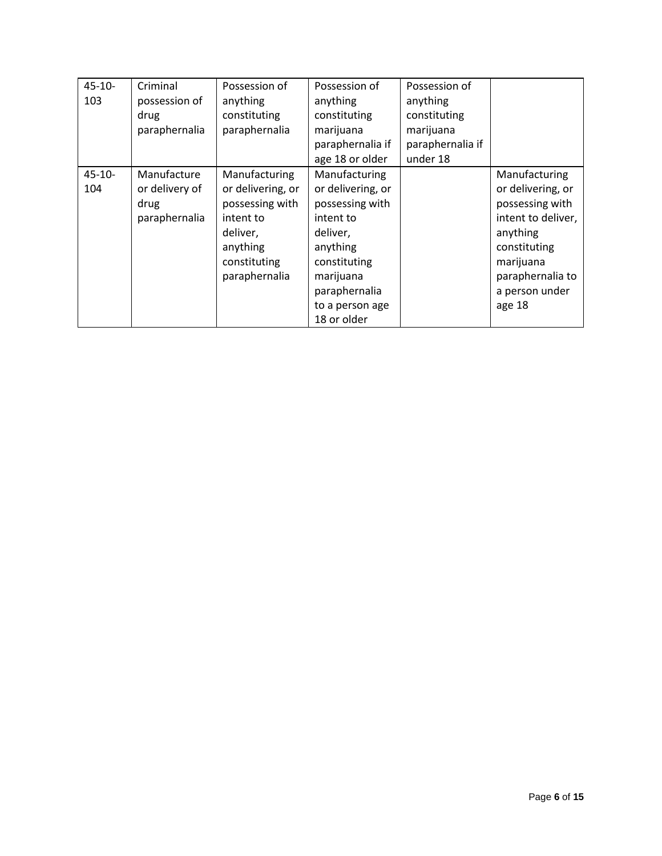| $45 - 10 -$ | Criminal       | Possession of     | Possession of     | Possession of    |                    |
|-------------|----------------|-------------------|-------------------|------------------|--------------------|
| 103         | possession of  | anything          | anything          | anything         |                    |
|             | drug           | constituting      | constituting      | constituting     |                    |
|             | paraphernalia  | paraphernalia     | marijuana         | marijuana        |                    |
|             |                |                   | paraphernalia if  | paraphernalia if |                    |
|             |                |                   | age 18 or older   | under 18         |                    |
| $45 - 10 -$ | Manufacture    | Manufacturing     | Manufacturing     |                  | Manufacturing      |
| 104         | or delivery of | or delivering, or | or delivering, or |                  | or delivering, or  |
|             | drug           | possessing with   | possessing with   |                  | possessing with    |
|             | paraphernalia  | intent to         | intent to         |                  | intent to deliver, |
|             |                | deliver,          | deliver,          |                  | anything           |
|             |                | anything          | anything          |                  | constituting       |
|             |                | constituting      | constituting      |                  | marijuana          |
|             |                | paraphernalia     | marijuana         |                  | paraphernalia to   |
|             |                |                   | paraphernalia     |                  | a person under     |
|             |                |                   | to a person age   |                  | age 18             |
|             |                |                   | 18 or older       |                  |                    |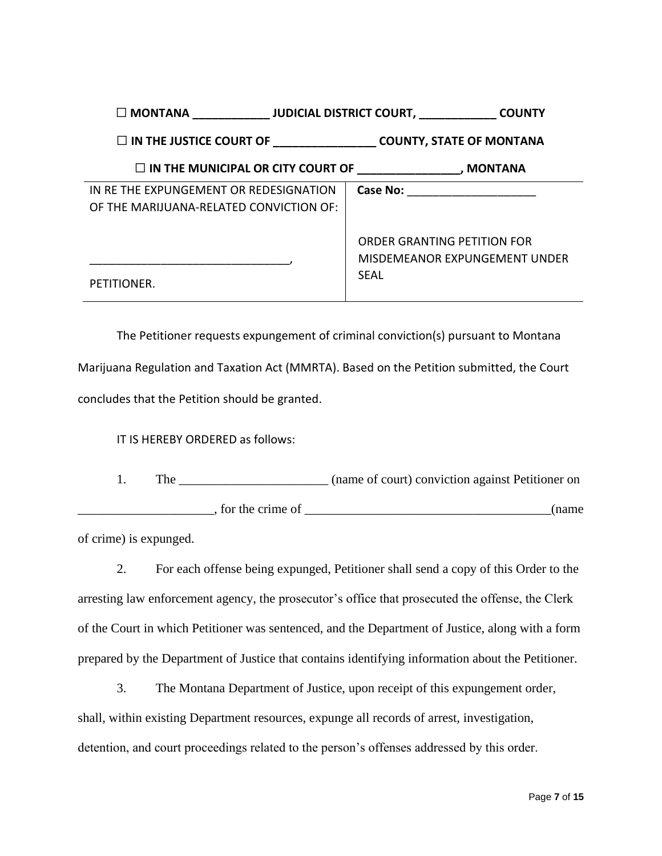| $\square$ MONTANA                                                                           |                                                                             |
|---------------------------------------------------------------------------------------------|-----------------------------------------------------------------------------|
| $\square$ IN THE JUSTICE COURT OF _________________________________COUNTY, STATE OF MONTANA |                                                                             |
| $\square$ IN THE MUNICIPAL OR CITY COURT OF $\qquad \qquad$ , MONTANA                       |                                                                             |
| IN RE THE EXPUNGEMENT OR REDESIGNATION                                                      | Case No:                                                                    |
| OF THE MARIJUANA-RELATED CONVICTION OF:                                                     |                                                                             |
| PETITIONER.                                                                                 | ORDER GRANTING PETITION FOR<br>MISDEMEANOR EXPUNGEMENT UNDER<br><b>SEAL</b> |
|                                                                                             |                                                                             |

The Petitioner requests expungement of criminal conviction(s) pursuant to Montana Marijuana Regulation and Taxation Act (MMRTA). Based on the Petition submitted, the Court concludes that the Petition should be granted.

IT IS HEREBY ORDERED as follows:

1. The \_\_\_\_\_\_\_\_\_\_\_\_\_\_\_\_\_\_\_\_\_ (name of court) conviction against Petitioner on  $\Box$ , for the crime of  $\Box$ 

of crime) is expunged.

2. For each offense being expunged, Petitioner shall send a copy of this Order to the arresting law enforcement agency, the prosecutor's office that prosecuted the offense, the Clerk of the Court in which Petitioner was sentenced, and the Department of Justice, along with a form prepared by the Department of Justice that contains identifying information about the Petitioner.

3. The Montana Department of Justice, upon receipt of this expungement order, shall, within existing Department resources, expunge all records of arrest, investigation, detention, and court proceedings related to the person's offenses addressed by this order.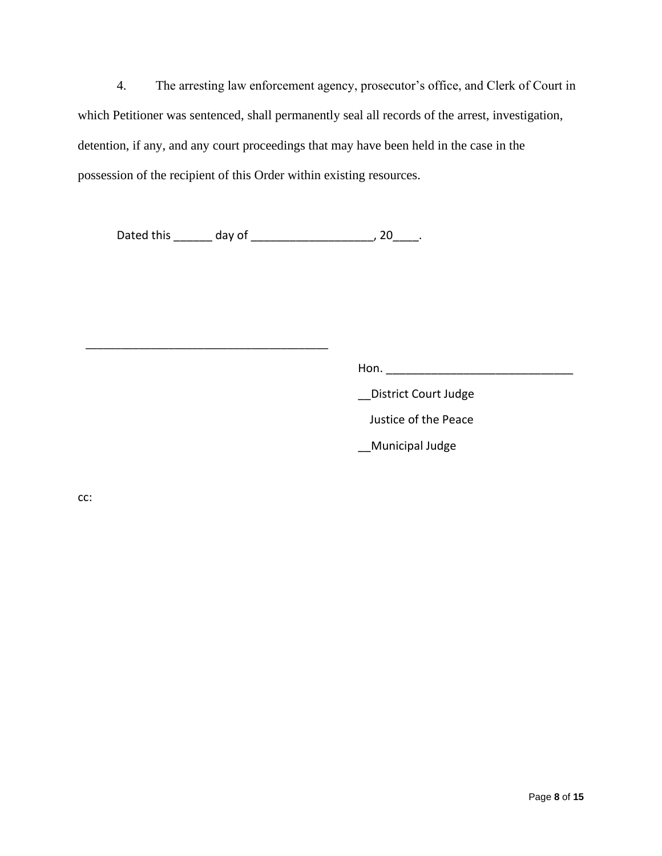4. The arresting law enforcement agency, prosecutor's office, and Clerk of Court in which Petitioner was sentenced, shall permanently seal all records of the arrest, investigation, detention, if any, and any court proceedings that may have been held in the case in the possession of the recipient of this Order within existing resources.

Dated this \_\_\_\_\_\_\_ day of \_\_\_\_\_\_\_\_\_\_\_\_\_\_\_\_\_\_\_\_\_\_\_, 20\_\_\_\_\_.

\_\_\_\_\_\_\_\_\_\_\_\_\_\_\_\_\_\_\_\_\_\_\_\_\_\_\_\_\_\_\_\_\_\_\_\_\_\_\_\_\_

Hon. \_\_\_\_\_\_\_\_\_\_\_\_\_\_\_\_\_\_\_\_\_\_\_\_\_\_\_\_\_

\_\_District Court Judge

Justice of the Peace

\_\_Municipal Judge

cc: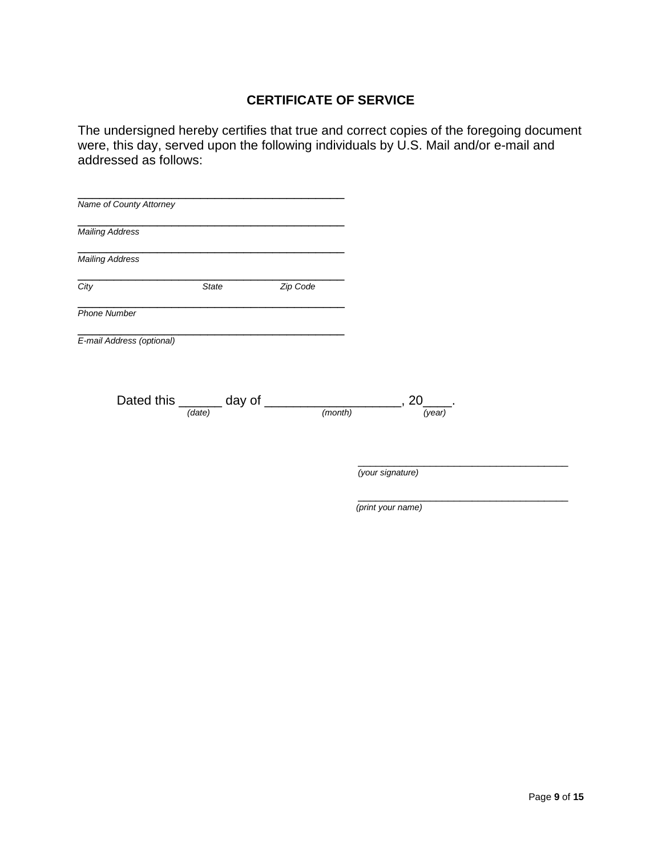## **CERTIFICATE OF SERVICE**

The undersigned hereby certifies that true and correct copies of the foregoing document were, this day, served upon the following individuals by U.S. Mail and/or e-mail and addressed as follows:

| Name of County Attorney   |                          |          |         |
|---------------------------|--------------------------|----------|---------|
| Mailing Address           |                          |          |         |
| <b>Mailing Address</b>    |                          |          |         |
| City                      | <b>State</b>             | Zip Code |         |
| <b>Phone Number</b>       |                          |          |         |
| E-mail Address (optional) |                          |          |         |
|                           | Dated this ______ day of |          | (month) |
|                           | (date)                   |          |         |
|                           |                          |          |         |
|                           |                          |          |         |

*(print your name)*

\_\_\_\_\_\_\_\_\_\_\_\_\_\_\_\_\_\_\_\_\_\_\_\_\_\_\_\_\_\_\_\_\_\_\_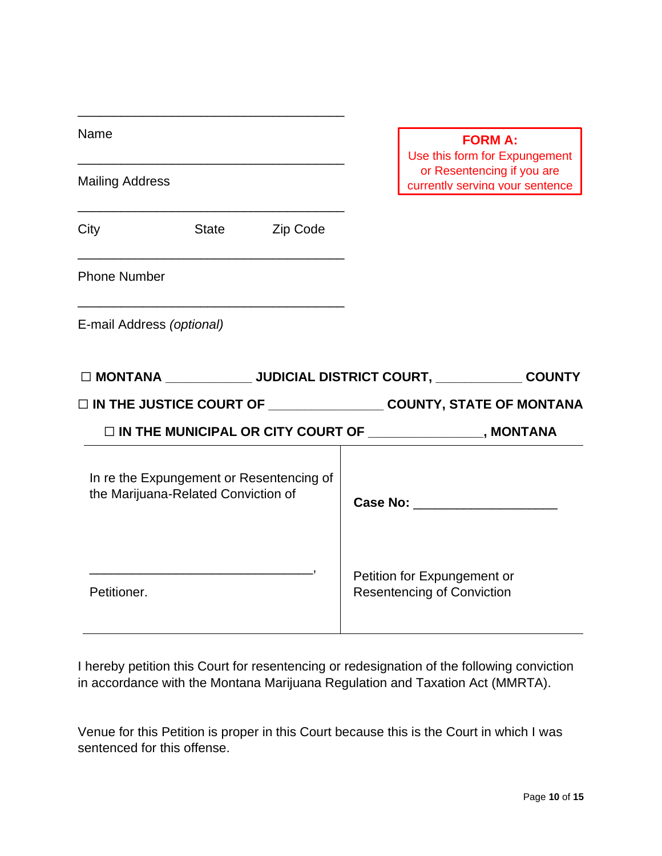| Name                      |                                                                                 |          |                                                               | <b>FORM A:</b>                                                                                 |
|---------------------------|---------------------------------------------------------------------------------|----------|---------------------------------------------------------------|------------------------------------------------------------------------------------------------|
| <b>Mailing Address</b>    |                                                                                 |          |                                                               | Use this form for Expungement<br>or Resentencing if you are<br>currently serving your sentence |
| City                      | State                                                                           | Zip Code |                                                               |                                                                                                |
| <b>Phone Number</b>       |                                                                                 |          |                                                               |                                                                                                |
| E-mail Address (optional) |                                                                                 |          |                                                               |                                                                                                |
|                           |                                                                                 |          |                                                               | □ MONTANA ______________ JUDICIAL DISTRICT COURT, _____________ COUNTY                         |
|                           |                                                                                 |          |                                                               | □ IN THE JUSTICE COURT OF ____________________ COUNTY, STATE OF MONTANA                        |
|                           |                                                                                 |          | □ IN THE MUNICIPAL OR CITY COURT OF ________________, MONTANA |                                                                                                |
|                           | In re the Expungement or Resentencing of<br>the Marijuana-Related Conviction of |          |                                                               |                                                                                                |
| Petitioner.               |                                                                                 |          | Petition for Expungement or                                   | <b>Resentencing of Conviction</b>                                                              |

I hereby petition this Court for resentencing or redesignation of the following conviction in accordance with the Montana Marijuana Regulation and Taxation Act (MMRTA).

Venue for this Petition is proper in this Court because this is the Court in which I was sentenced for this offense.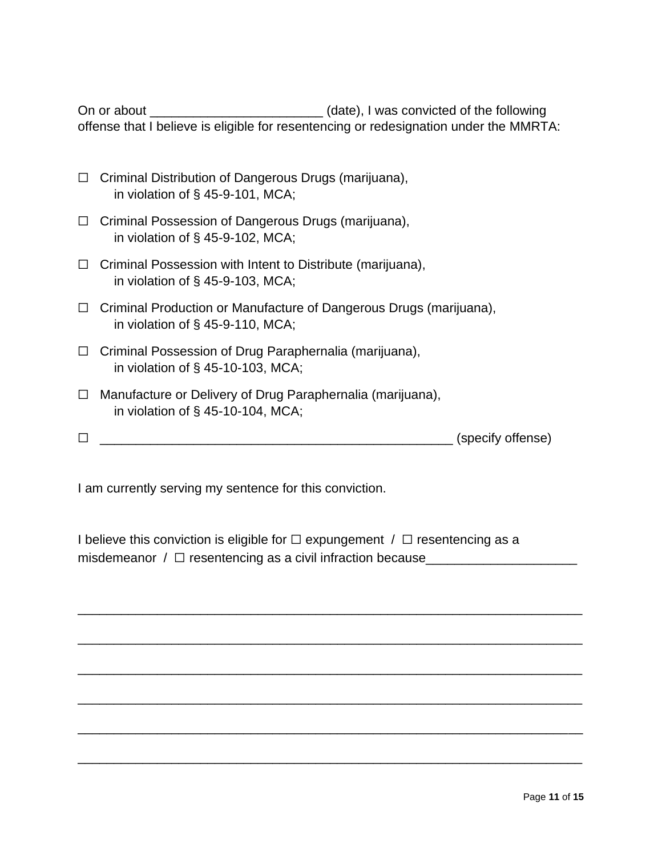On or about \_\_\_\_\_\_\_\_\_\_\_\_\_\_\_\_\_\_\_\_\_\_\_\_\_\_\_\_\_\_\_(date), I was convicted of the following offense that I believe is eligible for resentencing or redesignation under the MMRTA:

- ☐ Criminal Distribution of Dangerous Drugs (marijuana), in violation of § 45-9-101, MCA;
- ☐ Criminal Possession of Dangerous Drugs (marijuana), in violation of § 45-9-102, MCA;
- ☐ Criminal Possession with Intent to Distribute (marijuana), in violation of § 45-9-103, MCA;
- ☐ Criminal Production or Manufacture of Dangerous Drugs (marijuana), in violation of § 45-9-110, MCA;
- ☐ Criminal Possession of Drug Paraphernalia (marijuana), in violation of § 45-10-103, MCA;
- ☐ Manufacture or Delivery of Drug Paraphernalia (marijuana), in violation of § 45-10-104, MCA;
- ☐ \_\_\_\_\_\_\_\_\_\_\_\_\_\_\_\_\_\_\_\_\_\_\_\_\_\_\_\_\_\_\_\_\_\_\_\_\_\_\_\_\_\_\_\_\_\_\_\_\_ (specify offense)

I am currently serving my sentence for this conviction.

I believe this conviction is eligible for  $\Box$  expungement  $\Box$  aresentencing as a misdemeanor  $/ \Box$  resentencing as a civil infraction because\_\_\_\_\_\_\_\_\_\_\_\_\_\_\_\_\_\_\_\_

\_\_\_\_\_\_\_\_\_\_\_\_\_\_\_\_\_\_\_\_\_\_\_\_\_\_\_\_\_\_\_\_\_\_\_\_\_\_\_\_\_\_\_\_\_\_\_\_\_\_\_\_\_\_\_\_\_\_\_\_\_\_\_\_\_\_\_\_\_\_

\_\_\_\_\_\_\_\_\_\_\_\_\_\_\_\_\_\_\_\_\_\_\_\_\_\_\_\_\_\_\_\_\_\_\_\_\_\_\_\_\_\_\_\_\_\_\_\_\_\_\_\_\_\_\_\_\_\_\_\_\_\_\_\_\_\_\_\_\_\_

\_\_\_\_\_\_\_\_\_\_\_\_\_\_\_\_\_\_\_\_\_\_\_\_\_\_\_\_\_\_\_\_\_\_\_\_\_\_\_\_\_\_\_\_\_\_\_\_\_\_\_\_\_\_\_\_\_\_\_\_\_\_\_\_\_\_\_\_\_\_

\_\_\_\_\_\_\_\_\_\_\_\_\_\_\_\_\_\_\_\_\_\_\_\_\_\_\_\_\_\_\_\_\_\_\_\_\_\_\_\_\_\_\_\_\_\_\_\_\_\_\_\_\_\_\_\_\_\_\_\_\_\_\_\_\_\_\_\_\_\_

\_\_\_\_\_\_\_\_\_\_\_\_\_\_\_\_\_\_\_\_\_\_\_\_\_\_\_\_\_\_\_\_\_\_\_\_\_\_\_\_\_\_\_\_\_\_\_\_\_\_\_\_\_\_\_\_\_\_\_\_\_\_\_\_\_\_\_\_\_\_

\_\_\_\_\_\_\_\_\_\_\_\_\_\_\_\_\_\_\_\_\_\_\_\_\_\_\_\_\_\_\_\_\_\_\_\_\_\_\_\_\_\_\_\_\_\_\_\_\_\_\_\_\_\_\_\_\_\_\_\_\_\_\_\_\_\_\_\_\_\_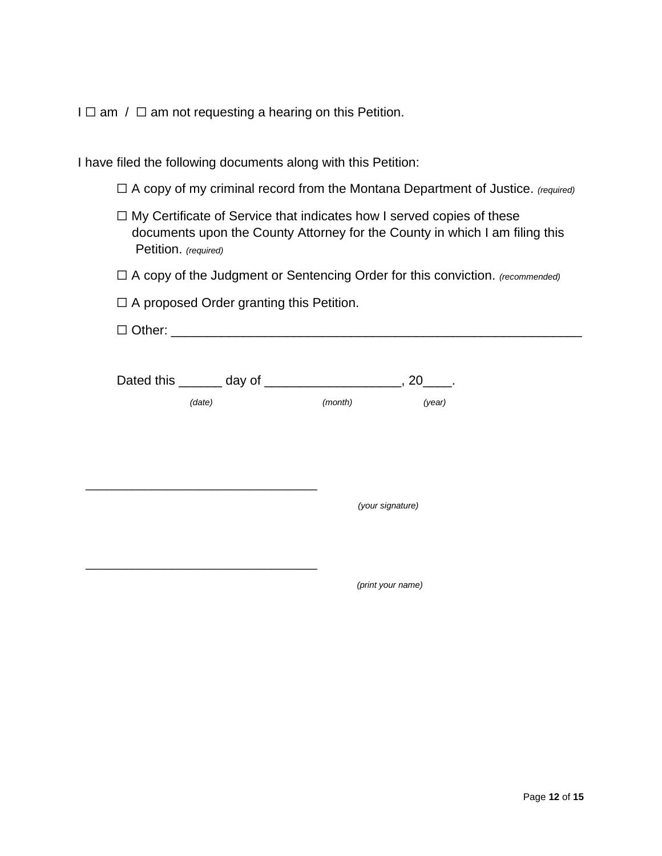$I \square$  am /  $\square$  am not requesting a hearing on this Petition.

I have filed the following documents along with this Petition:

☐ A copy of my criminal record from the Montana Department of Justice. *(required)*

- ☐ My Certificate of Service that indicates how I served copies of these documents upon the County Attorney for the County in which I am filing this Petition. *(required)*
- ☐ A copy of the Judgment or Sentencing Order for this conviction. *(recommended)*

 $\Box$  A proposed Order granting this Petition.

|        |         | $, 20$ _______.  |  |
|--------|---------|------------------|--|
| (date) | (month) | (year)           |  |
|        |         |                  |  |
|        |         |                  |  |
|        |         |                  |  |
|        |         | (your signature) |  |
|        |         |                  |  |
|        |         |                  |  |

*(print your name)*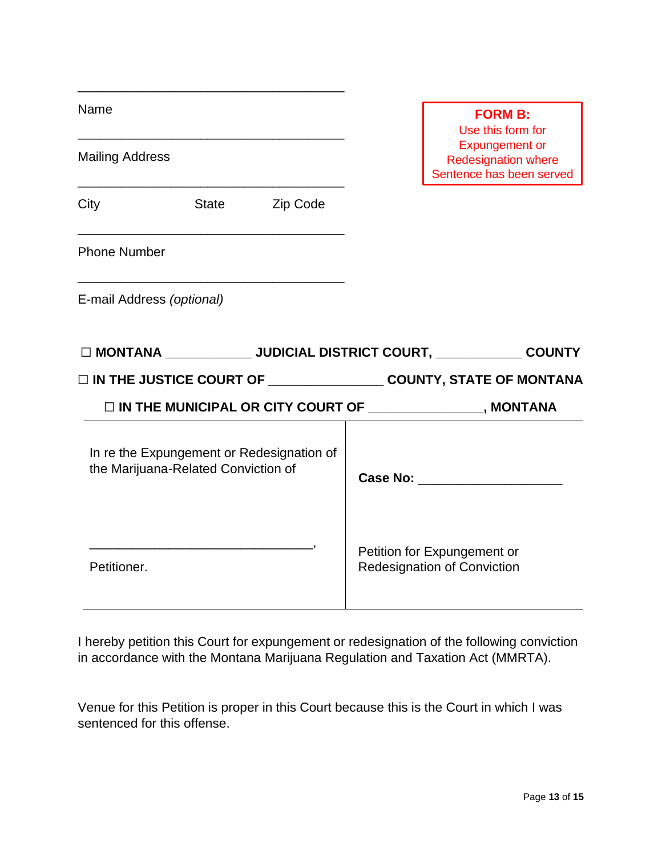| Name                      |                                     |                                           | <b>FORM B:</b><br>Use this form for                                             |
|---------------------------|-------------------------------------|-------------------------------------------|---------------------------------------------------------------------------------|
| <b>Mailing Address</b>    |                                     |                                           | <b>Expungement or</b><br><b>Redesignation where</b><br>Sentence has been served |
| City                      | State                               | Zip Code                                  |                                                                                 |
| <b>Phone Number</b>       |                                     |                                           |                                                                                 |
| E-mail Address (optional) |                                     |                                           |                                                                                 |
|                           |                                     |                                           | □ MONTANA _____________ JUDICIAL DISTRICT COURT, ____________ COUNTY            |
|                           |                                     |                                           | □ IN THE JUSTICE COURT OF _____________________COUNTY, STATE OF MONTANA         |
|                           |                                     |                                           | □ IN THE MUNICIPAL OR CITY COURT OF ________________, MONTANA                   |
|                           |                                     |                                           |                                                                                 |
|                           | the Marijuana-Related Conviction of | In re the Expungement or Redesignation of | Case No: The Case No.                                                           |

I hereby petition this Court for expungement or redesignation of the following conviction in accordance with the Montana Marijuana Regulation and Taxation Act (MMRTA).

Venue for this Petition is proper in this Court because this is the Court in which I was sentenced for this offense.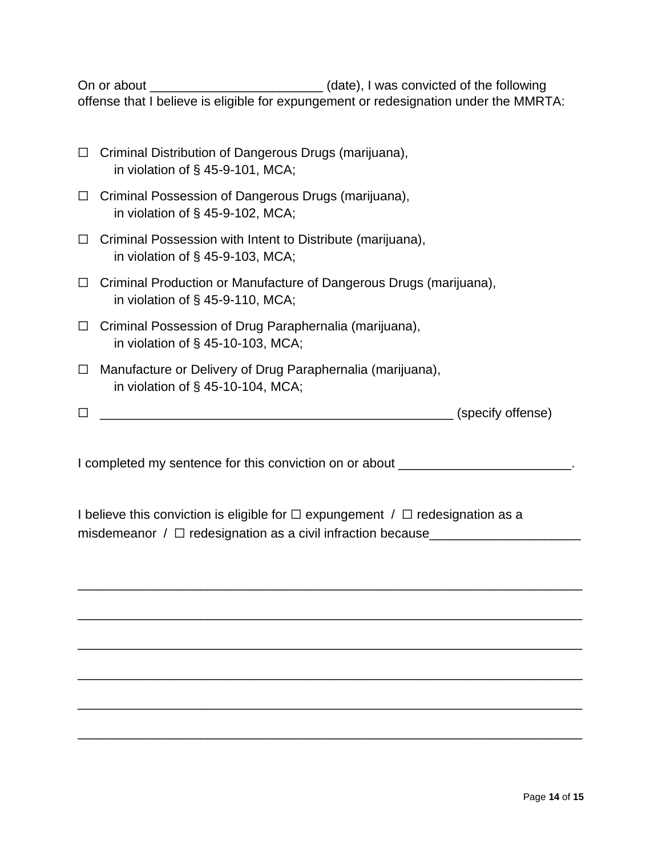On or about \_\_\_\_\_\_\_\_\_\_\_\_\_\_\_\_\_\_\_\_\_\_\_\_\_\_\_\_\_(date), I was convicted of the following offense that I believe is eligible for expungement or redesignation under the MMRTA:

| $\Box$ Criminal Distribution of Dangerous Drugs (marijuana), |
|--------------------------------------------------------------|
| in violation of $\S$ 45-9-101, MCA;                          |

- ☐ Criminal Possession of Dangerous Drugs (marijuana), in violation of § 45-9-102, MCA;
- ☐ Criminal Possession with Intent to Distribute (marijuana), in violation of § 45-9-103, MCA;
- ☐ Criminal Production or Manufacture of Dangerous Drugs (marijuana), in violation of § 45-9-110, MCA;
- ☐ Criminal Possession of Drug Paraphernalia (marijuana), in violation of § 45-10-103, MCA;
- ☐ Manufacture or Delivery of Drug Paraphernalia (marijuana), in violation of § 45-10-104, MCA;
- ☐ \_\_\_\_\_\_\_\_\_\_\_\_\_\_\_\_\_\_\_\_\_\_\_\_\_\_\_\_\_\_\_\_\_\_\_\_\_\_\_\_\_\_\_\_\_\_\_\_\_ (specify offense)

I completed my sentence for this conviction on or about \_\_\_\_\_\_\_\_\_\_\_\_\_\_\_\_\_\_\_\_\_\_\_\_.

\_\_\_\_\_\_\_\_\_\_\_\_\_\_\_\_\_\_\_\_\_\_\_\_\_\_\_\_\_\_\_\_\_\_\_\_\_\_\_\_\_\_\_\_\_\_\_\_\_\_\_\_\_\_\_\_\_\_\_\_\_\_\_\_\_\_\_\_\_\_

\_\_\_\_\_\_\_\_\_\_\_\_\_\_\_\_\_\_\_\_\_\_\_\_\_\_\_\_\_\_\_\_\_\_\_\_\_\_\_\_\_\_\_\_\_\_\_\_\_\_\_\_\_\_\_\_\_\_\_\_\_\_\_\_\_\_\_\_\_\_

\_\_\_\_\_\_\_\_\_\_\_\_\_\_\_\_\_\_\_\_\_\_\_\_\_\_\_\_\_\_\_\_\_\_\_\_\_\_\_\_\_\_\_\_\_\_\_\_\_\_\_\_\_\_\_\_\_\_\_\_\_\_\_\_\_\_\_\_\_\_

\_\_\_\_\_\_\_\_\_\_\_\_\_\_\_\_\_\_\_\_\_\_\_\_\_\_\_\_\_\_\_\_\_\_\_\_\_\_\_\_\_\_\_\_\_\_\_\_\_\_\_\_\_\_\_\_\_\_\_\_\_\_\_\_\_\_\_\_\_\_

\_\_\_\_\_\_\_\_\_\_\_\_\_\_\_\_\_\_\_\_\_\_\_\_\_\_\_\_\_\_\_\_\_\_\_\_\_\_\_\_\_\_\_\_\_\_\_\_\_\_\_\_\_\_\_\_\_\_\_\_\_\_\_\_\_\_\_\_\_\_

\_\_\_\_\_\_\_\_\_\_\_\_\_\_\_\_\_\_\_\_\_\_\_\_\_\_\_\_\_\_\_\_\_\_\_\_\_\_\_\_\_\_\_\_\_\_\_\_\_\_\_\_\_\_\_\_\_\_\_\_\_\_\_\_\_\_\_\_\_\_

I believe this conviction is eligible for  $\Box$  expungement  $\Box$  redesignation as a misdemeanor  $/ \Box$  redesignation as a civil infraction because\_\_\_\_\_\_\_\_\_\_\_\_\_\_\_\_\_\_\_